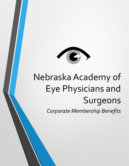

# Nebraska Academy of Eye Physicians and Surgeons

*Corporate Membership Benefits*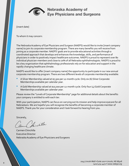

Nebraska Academy of **Eye Physicians and Surgeons** 

[insert date]

To whom it may concern:

The Nebraska Academy of Eye Physicians and Surgeon (NAEPS) would like to invite [insert company name] to join its corporate membership program. There are many benefits you will receive from joining as a corporate member. NAEPS' goals are to provide educational activities through a coordinated approach that develops and enhances the knowledge, skills, and performance of physicians in order to positively impact healthcare outcomes. NAEPS is proud to represent over 80 individual physician-members and close to 70% of all Nebraska ophthalmologists. NAEPS is proud to be a key organization that ophthalmology professionals rely on for education and support in the rapidly changing healthcare climate.

NAEPS would like to offer [insert company name] the opportunity to participate in our new annual corporate membership program. There are two different levels of corporate membership available:

- A Silver Membership valued at \$7,500 per 12-month cycle. Only six (6) Silver Corporate Memberships available per calendar year.
- A Gold Membership valued at \$10,000 per 12-month cycle. Only four (4) Gold Corporate Memberships available per calendar year.

Please review the "Levels of Corporate Membership" page for additional details about the benefits your company is entitled to with each tier.

With your participation, NAEPS can focus on carrying out its mission and help improve eyecare for all Nebraskans. We are hopeful you will recognize the benefits of becoming a corporate member of NAEPS. Thank you for your consideration and I look forward to hearing from you.

Sincerely,

his chilla

Carmen Chinchilla Executive Director Nebraska Academy of Eye Physicians and Surgeons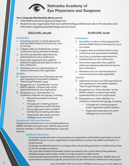# Nebraska Academy of **Eye Physicians and Surgeons**

# **Your Corporate Membership allows you to:**

- Help NAEPS achieve its goals and objectives
- Be part of a key organization that local ophthalmology professionals rely on for education and information regarding ophthalmology practice issues.

# *GOLD LEVEL- \$10,000 SILVER LEVEL- \$7,500*

# **Participation**

- 1. Annual face-to-face or virtual opportunity with the NAEPS Board of Directors for up to 15 minutes.
- 2. A display table at scheduled face-to-face conferences with guaranteed availability.
- 3. Up to five (5) attendee registrations for scheduled face-to-face conferences.
- 4. Discounted registration fees (50%) for additional registered attendees for face-toface conferences.
- 5. Attendance for your representatives at virtual conferences *(when applicable).*

# **Visibility**

- 6. Opportunity to post your FDA approvals and new indications on the NAEPS website's "New Drugs/Therapies" page.
- 7. Recognition as a "Gold Member" on the NAEPS website. Company logo will be hyperlinked back to your organization.
- 8. Recognition as a "Gold Member" on conference materials and signage, including:
	- Networking reception at annual meeting.
	- Full-page ad in meeting program and/or registration packet handout.
	- One (1) approved mailer to NAEPS membership & meeting attendees.
	- Organization description on event webpage (up to 150 words).

### **Exclusive for Gold Level Members**

Opportunity to provide one (1) non-branded webinar to NAEPS members during the year. NAEPS will promote event to members. Content is developed by Corporate Member.

### **Additional Information:**

# **Participation**

- 1. Annual face-to-face or virtual opportunity with the NAEPS Board of Directors for up to 10 minutes.
- 2. A display table at scheduled face-to-face conferences with guaranteed availability.
- 3. Up to four (4) attendee registrations for scheduled face-to-face conferences.
- 4. Discounted registration fees (25%) for additional registered attendees for face-toface conferences.
- 5. Attendance for your representatives at virtual conferences *(when applicable).*

# **Visibility**

- **6.** Opportunity to post your FDA approvals and new indications on the NAEPS website's "New Drugs/Therapies" page.
- 7. Recognition as a "Silver Member" on the NAEPS website. Company logo will be hyperlinked back to your organization.
- 8. Recognition as a "Silver Member" on conference materials and signage, including:
	- Full-page ad in meeting program and/or registration packet handout.
	- Organization description on event webpage (up to 125 words).

- Corporate membership does not quarantee your organization will be able to participate in any of the NAEPS events. It is your organization's responsibility to contact the exhibit coordinator in a timely manner
- Corporate membership status for a company does not provide quarantee or condition of purchase to use the company's products.
- The corporate membership benefits outlined are based on the current state of the pandemic. Suitable changes will be made in order to conduct events in a safe manner.
- Corporate educational activities are developed by each respective corporation. NAEPS does not recommend or endorse any specific product that may be mentioned or referenced in the program.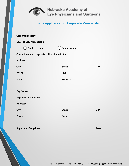

Nebraska Academy of<br>Eye Physicians and Surgeons

|  |  | 2021 Application for Corporate Membership |  |
|--|--|-------------------------------------------|--|
|  |  |                                           |  |

| <b>Corporation Name:</b>                         |      |  |  |  |  |  |
|--------------------------------------------------|------|--|--|--|--|--|
|                                                  |      |  |  |  |  |  |
| ) Silver (\$7,500)                               |      |  |  |  |  |  |
| Contact name at corporate office (if applicable) |      |  |  |  |  |  |
|                                                  |      |  |  |  |  |  |
| State:                                           | ZIP: |  |  |  |  |  |
| Fax:                                             |      |  |  |  |  |  |
| Website:                                         |      |  |  |  |  |  |
|                                                  |      |  |  |  |  |  |
|                                                  |      |  |  |  |  |  |
| <b>Representative Name:</b>                      |      |  |  |  |  |  |
|                                                  |      |  |  |  |  |  |
| State:                                           | ZIP: |  |  |  |  |  |
| Email:                                           |      |  |  |  |  |  |
|                                                  |      |  |  |  |  |  |
|                                                  |      |  |  |  |  |  |

**Signature of Applicant:**  $\qquad \qquad$  **Date:** Date: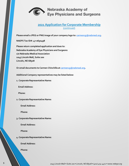

# Nebraska Academy of Eye Physicians and Surgeons

# **2021 Application for Corporate Membership** (continued)

**Please email a JPEG or PNG image of your company logo to: [carmencg@nebmed.org](mailto:carmencg@nebmed.org).**

**NAEPS Tax ID#: 47-0630498**

**Please return completed application and dues to: Nebraska Academy of Eye Physicians and Surgeons c/o Nebraska Medical Association 1045 Lincoln Mall, Suite 200 Lincoln, NE 68508**

**Or email documents to Carmen Chinchilla at [carmencg@nebmed.org](mailto:carmencg@nebmed.org).**

**Additional Company representatives may be listed below:**

**1. Corporate Representative Name:**

**Email Address:**

**Phone:** 

**2. Corporate Representative Name:**

**Email Address:**

**Phone:** 

**3. Corporate Representative Name:**

**Email Address:**

**Phone:** 

**4. Corporate Representative Name:**

**Email Address:**

**Phone:**